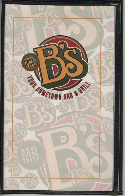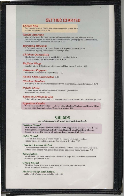# **GETTING STARTED**

### **Cheese Stix**

Everyone's Favorite. Six Mozzarella cheese sticks served with our own marinara sauce 4.99

### **Nacho Supreme**

A bed of crispy tortilla chips covered with seasoned ground beef, chicken, or both, Pico de Gallo, topped with two kinds of melted cheese, green peppers and black olives. Served with salsa. Sour cream on request. 5.99

### **Bermuda Blossom**

A Perennial favorite . . . An onion flower with a special seasoned batter. Served with dipping sauce. Great for sharing! 4.99

### Chicken Quesadilla

Charbroiled chicken breast in a grilled flour tortilla filled with blended cheeses, Pico de Gallo and lettuce. 6.79

# **Buffalo Wings**

Regular, mild or BBQ. Served with celery and Bleu cheese dressing. 5.29

### Jalapeno Poppers

Your choice of cheddar or cream cheese. 4.99

# Nacho Chips and Salsa 2.79

### **Chicken Tenders**

Five pieces of breaded white meat served with honey mustard sauce for dipping. 5.79

### **Potato Skins**

Potatoes topped with blended cheeses, bacon and green onions. Served with sour cream, 5.49

### **Spinach Artichoke Dip**

Baked with water chestnuts in a cheese and cream sauce. Served with tortilla chips. 5.99

### **Appetizer Combo**

A combination of favorites . . . Cheese Stix, Chicken Tenders, and Potato Skins served with Ranch dressing. Enough to share. 6.99

# **SALADS**

All salads served with a hot, homemade breadstick.

### Fajitas Salad

Your choice of beef or chicken sauteed with peppers and onions, served over mixed greens, tomatoes, black olives and topped with Mexiblend Cheese. Served in a tortilla bowl with salsa and sour cream. Ole! 8.99

#### Cobb Salad

Diced chicken breast, crisp bacon, hard boiled egg, black olives, tomatoes, blended cheese all on tossed greens. Your choice of dressing. 7.29

### **Chicken Caesar Salad**

Charbroiled chicken breast, served over Romaine lettuce, Parmesan cheese, red onion and tomatoes. Topped with garlic croutons and homemade Caesar dressing. 7.49

### **Taco Salad**

A traditional taco salad, served over crisp tortilla chips with your choice of seasoned chicken or ground beef. 6.29

### **Greek Salad**

With Feta cheese, tomatoes, olives, beets, red onions, and pepperoncini. Served with Greek Dressing 5.99

#### Make it Soup and Salad!

Add a crock of soup to any salad for only 1.59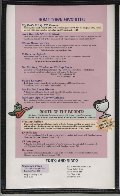# **HOME TOWN FAVORITES**

### Big Red's B.B.Q. Rib Dinner

Tender, slow cooked rack of baby back ribs glazed with Mr. B's original BBQ sauce, served with french fries, cole slaw and Texas toast. 11.99

### **Jack Daniels NY Strip Steak**

12 oz. Certified Angus basted in our own sweet Jack Daniels sauce and charbroiled over an open flame. Served with grilled potatoes, fresh vegetables and a tossed salad. 12.99

### **China Moon Stir Fry**

Chicken combined with a medley of Chinese vegetables and served over rice with our Szechwan sauce. Served with a house tossed salad. 8.99 Substitute Shrimp add just 2.00

### **Fettuccine Alfredo**

Tender chicken fillets in a light Parmesan cream sauce, tossed with tri-colored fettucine. Served with a house tossed salad. 8.99 Substitute Shrimp add just 2.00

### Mr. B's Fish, Chicken or Shrimp Basket

Your choice of breaded chicken tenders, "Big Red" beer hattered cod or fried shrimp served with french fries and cole slaw with sauces for dipping. \* Fish or Chicken basket 6.99 · Shrimp basket 7.99

**Baked Lasagna** 

Traditional lasagna topped with Marinara sauce and Mozzarella cheese. Served with garlic toast and a Caesar salad. 7.99

### Mr. B's Pot Roast Dinner

A thick piece of homestyle pot roast. Served with mashed potatoes, gravy, vegetables and a house tossed salad. 8.99

# **Michigan Apple Cherry Chicken**

Twin marinated chicken breasts topped with a cinnamon apple cherry sauce with rice and fresh vegetables. Served with a house tossed salad. 8.99

# **SOUTH OF THE BORDER**

All South of the Border dinners are served with beans, rice and sour cream. Nacho Chips & Salsa with any South of the Border Dinners for only 99e.

### **Sizzling Fajitas**

Choice of marinated chicken, steak, or both. Served sizzling on a cast iron skillet with grilled peppers and onions. Accompanied by warm tortillas, shredded lettuce, sour cream, mixed cheese and Pico de Gallo. 10.99

#### Enchiladas

Soft corn tortillas rolled with your choice of beef or chicken and topped with Ranchero sauce, Monterey Jack and Cheddar cheese. 7.79

#### Chimichanga

A flour tortilla filled with your choice of beef or chicken with a blend of Monterey Jack and Cheddar cheese, fried and topped with Ranchero sauce. 7.99

### **Burritos**

Your choice of beef or chicken folded in a soft flour tortilla, topped with Monterey Jack, Cheddar cheese and Ranchero sauce. 7.79

# **FRIES AND SIDES**

# **Seasoned Fries**

(the original recipe) 2.59 Regular Fries 2.29

Soup of the day 2.59 Chili 2.99

Side of Rice and Beans 1.25 Caesar Salad 2.99 Tossed Salad 2.99 Cole Slaw 1.49 Bread Stix 2.59

"OUR MARGARITAS

ARE GREATT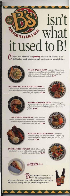# isn't what *OMETOWN BAR & BALL* it used to B!

Ver the years your tastes have **grown up**, and so has Mr. B's menu. In fact Chef Dan has recently added some really tasty items to our menu including...



RAGIN' CAJUN PASTA - Red pepper fettuccimi tossed with peppers, onions, alligator tips, crawfish tail, and salmon in<br>a spicy cream sauce. Served with a homemade bread stick. Chicken instead of seafood also available. 9.99

JACK DANIEL'S NEW YORK STRIP STEAK 12 ounce Angus steak basted in our own sweet Jack Daniel's<br>sauce and charbroiled over an open flame. Served with grilled potatoes and fresh vegetables. 12.99





**PEPPERCORN PORK CHOP** - Two seasoned pork chops charbroiled over an open flame, placed in a pool of creamy peppercorn sauce. Served with fresh vegetables and roadhouse potatoes. 11.99

**SWORDFISH VERA CRUZ** - Tender marmuted rifish summed and lightly blackened in a cast from ibillet. Report with a spicy frosh olive salsa and served with a fresh ergetable and Paella style rice. 11.99





BIG RED'S B.B.Q. RIB DINNER - Tinder, slow cooked rack of baby back ribs glazed with Mr. B's original BBQ sauce and chargrilled. Served with french fries, cole slaw, and Texas toast 11.99

**JACK DANIEL'S SALMON** - Atlantic Salmon roasted to perfection in our sweet Jack Daniel's sauce. Served with fresh regetables and Paella style rice. 12.99



# **Milky Ways** 3.25

But don't let our new menu fool ya.<br>We're still your neighborhood pub...a place that serves great food at a good value. A place where you can dress casually, relax and have fun with your friends.

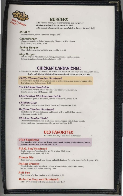

# **BURGERS**

Add cheese, bacon, or mushrooms to any burger or chicken sandwich for an extra .40 each Add a crock of soup with any sandwich or burger for only 1.59

# $M.S.B.B.$

Our mushroom, Swiss and bacon burger. 5.99

# *Cheeseburger*

Choice of American, Swiss, Mozzarella, Cheddar or Bleu cheese built the way you like it. 4.99

### **Turkey Burger**

On a whole wheat bun built the way you like it. 4.99

# **Slop Burger**

Mr. B's original with mustard, ketchup, mayonnaise, pickles, onions, lettuce, tomato and your choice of cheese. 4.99

# **CHICKEN SANDWICHES**

All charbroiled chicken sandwiches are served on a Kaiser roll with chips and a dill pickle spear. Add a side Caesar Salad with any sandwich or burger for just 99e

### **Philly Cheese Chicken Sandwich**

A charbroiled chicken breast, smothered in grilled onions and peppers, topped with leaf lettuce and Swiss cheese. 5.99

# **Tex Chicken Sandwich**

A charbroiled chicken breast with Cheddar cheese, bacon, lettuce, tomato, onions and BBQ sauce. 5.99

# **Charbroiled Chicken Sandwich**

Your choice of plain, Cajun-style, Italian or with BBQ sauce. 5.59

### Chicken Club

With bacon, lettuce, tomato, Swiss cheese and mayonnaise. 5.99

# **Buffalo Chicken Sandwich**

Basted in Mr. B's own hot sauce and topped with crumbled Bleu cheese, lettuce and tomato. 5.99

# Chicken Tender "Sub"

Chicken tenders smothered in Cheddar cheese, topped with lettuce, tomato, onion, pickle and ranch dressing. Served on a sub bun. 5.59

# **OLD FAVORITES**

All served with chips and a dill pickle spear.

# **Club Sandwich**

Our version with high-rise Texas toast, fresh turkey, Swiss cheese, bacon, lettuce, tomato and mayonnaise. 5.79

# **B.B.Q. Beef Sandwich**

Tender roast beef smothered in Mr B's original BBQ sauce and served on an onion roll. 5.79

# **French Dip**

Roast beef topped with Swiss cheese and grilled onions. Served with au jus for dipping. 5.79

### **Italian Grinder**

Classic Italian style, baked with salami, Capicola ham, Mozzarella cheese, lettuce, tomato and Italian dressing. 5.99

# **Roll Ups**

Your choice of grilled chicken or sliced turkey. 5.99

### Make it a Soup and Sandwich!

Add a crock of soup with any sandwich for only 1.59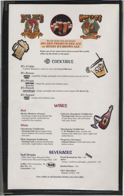



# Try one of our very own brews! **BIG RED PREMIUM RED ALE** or HONEY B'S BROWN ALE

Enjoy one of our many beers from around the world, either by the bottle or the glass



B's A'ritta A golden Margarita, made our way with Grand Mariner.

**B's Breeze** ABSOLUT, grapefruit, orange, pineapple and cranberry juices layered over ice. **VODKA** 

**B's Pirate** Captain Morgan , Triple Sec, peach and cranberry juice. Philade Stool

**B's Punch (aptain Actgan**, orange, pineapple and cranberry juice topped with Seven Up.

**B's Sunset ABSOLUT**, orange and cranberry juice. **CITRON** 

# **WINES**

# Red

Merlot, Monterey (France) An element of spice from French Oak with good herbal, earthy flavors, backed by firm tannins.

# White

Chardonnay (California) Turning Leaf. Round apple-citrus flavors shaded with tones of vanilla and spice.

White Zinfandel (California) Turning Leaf. Luscious strawberries and melon. Light-bodied, crisp finish.

Cabernet, Sauvignon (California) Turning Leaf. Aromas and flavors of ripe berry fruit, oak and butter with spicy finish.

Chardonnay (California) C. K. Mondavi. Ripe, smooth and creamy with subtle pear, spice, apple and melon flavors.

**Piesporter** (Germany) Johann Klauss. Fresh and sweet with melon aromas.

**Soft Drinks** 

Pepsi, Diet Pepsi, Mountain Dew, \* Lemon-Lime Slice and Orange Slice 1.50

Coffee 100% Columbian .95 Hot Tea .95 Lemonade 1.50



**BEVERAGES** 



Juiceorange, cranberry, pineapple, grapefruit 1.50

Bottled Water 1.50

I.B.C. Root Beer Regular or Diet 1.95





Free refills on all fountain drinks, teas and coffee.